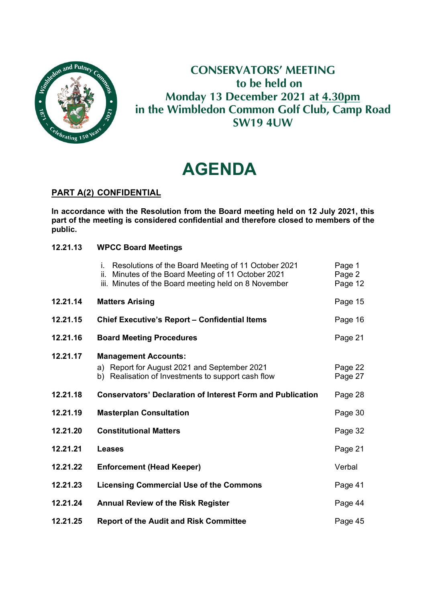

# **CONSERVATORS' MEETING to be held on Monday 13 December 2021 at 4.30pm in the Wimbledon Common Golf Club, Camp Road SW19 4UW**

# **AGENDA**

### **PART A(2) CONFIDENTIAL**

**In accordance with the Resolution from the Board meeting held on 12 July 2021, this part of the meeting is considered confidential and therefore closed to members of the public.**

#### **12.21.13 WPCC Board Meetings**

|          | Resolutions of the Board Meeting of 11 October 2021<br>i.<br>Minutes of the Board Meeting of 11 October 2021<br>ii.<br>iii. Minutes of the Board meeting held on 8 November | Page 1<br>Page 2<br>Page 12 |
|----------|-----------------------------------------------------------------------------------------------------------------------------------------------------------------------------|-----------------------------|
| 12.21.14 | <b>Matters Arising</b>                                                                                                                                                      | Page 15                     |
| 12.21.15 | <b>Chief Executive's Report - Confidential Items</b>                                                                                                                        | Page 16                     |
| 12.21.16 | <b>Board Meeting Procedures</b>                                                                                                                                             | Page 21                     |
| 12.21.17 | <b>Management Accounts:</b><br>a) Report for August 2021 and September 2021<br>b) Realisation of Investments to support cash flow                                           | Page 22<br>Page 27          |
| 12.21.18 | <b>Conservators' Declaration of Interest Form and Publication</b>                                                                                                           | Page 28                     |
| 12.21.19 | <b>Masterplan Consultation</b>                                                                                                                                              | Page 30                     |
| 12.21.20 | <b>Constitutional Matters</b>                                                                                                                                               | Page 32                     |
| 12.21.21 | <b>Leases</b>                                                                                                                                                               | Page 21                     |
| 12.21.22 | <b>Enforcement (Head Keeper)</b>                                                                                                                                            | Verbal                      |
| 12.21.23 | <b>Licensing Commercial Use of the Commons</b>                                                                                                                              | Page 41                     |
| 12.21.24 | <b>Annual Review of the Risk Register</b>                                                                                                                                   | Page 44                     |
| 12.21.25 | <b>Report of the Audit and Risk Committee</b>                                                                                                                               | Page 45                     |